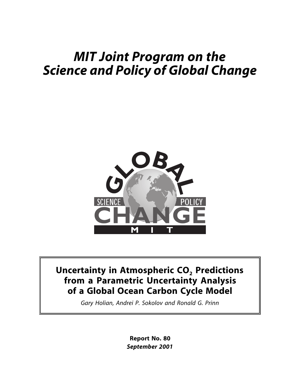# *MIT Joint Program on the Science and Policy of Global Change*



## **Uncertainty in Atmospheric CO<sub>2</sub> Predictions from a Parametric Uncertainty Analysis of a Global Ocean Carbon Cycle Model**

*Gary Holian, Andrei P. Sokolov and Ronald G. Prinn*

**Report No. 80** *September 2001*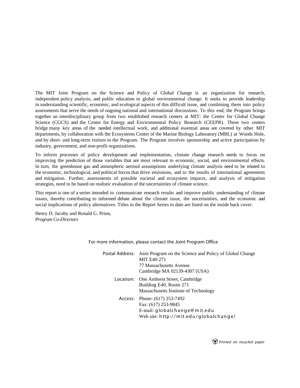The MIT Joint Program on the Science and Policy of Global Change is an organization for research, independent policy analysis, and public education in global environmental change. It seeks to provide leadership in understanding scientific, economic, and ecological aspects of this difficult issue, and combining them into policy assessments that serve the needs of ongoing national and international discussions. To this end, the Program brings together an interdisciplinary group from two established research centers at MIT: the Center for Global Change Science (CGCS) and the Center for Energy and Environmental Policy Research (CEEPR). These two centers bridge many key areas of the needed intellectual work, and additional essential areas are covered by other MIT departments, by collaboration with the Ecosystems Center of the Marine Biology Laboratory (MBL) at Woods Hole, and by short- and long-term visitors to the Program. The Program involves sponsorship and active participation by industry, government, and non-profit organizations.

To inform processes of policy development and implementation, climate change research needs to focus on improving the prediction of those variables that are most relevant to economic, social, and environmental effects. In turn, the greenhouse gas and atmospheric aerosol assumptions underlying climate analysis need to be related to the economic, technological, and political forces that drive emissions, and to the results of international agreements and mitigation. Further, assessments of possible societal and ecosystem impacts, and analysis of mitigation strategies, need to be based on realistic evaluation of the uncertainties of climate science.

This report is one of a series intended to communicate research results and improve public understanding of climate issues, thereby contributing to informed debate about the climate issue, the uncertainties, and the economic and social implications of policy alternatives. Titles in the Report Series to date are listed on the inside back cover.

Henry D. Jacoby and Ronald G. Prinn, *Program Co-Directors*

| Postal Address: Joint Program on the Science and Policy of Global Change<br><b>MIT E40-271</b><br>77 Massachusetts Avenue<br>Cambridge MA 02139-4307 (USA) |
|------------------------------------------------------------------------------------------------------------------------------------------------------------|
| Location: One Amherst Street, Cambridge<br>Building E40, Room 271<br>Massachusetts Institute of Technology                                                 |
| Access: Phone: (617) 253-7492<br>Fax: (617) 253-9845<br>E-mail: globalchange@mit.edu<br>Web site: http://mit.edu/globalchange/                             |

For more information, please contact the Joint Program Office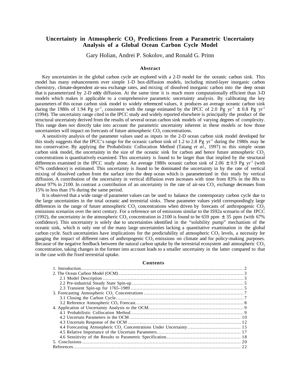#### Uncertainty in Atmospheric CO<sub>2</sub> Predictions from a Parametric Uncertainty **Analysis of a Global Ocean Carbon Cycle Model**

Gary Holian, Andrei P. Sokolov, and Ronald G. Prinn

#### **Abstract**

Key uncertainties in the global carbon cycle are explored with a 2-D model for the oceanic carbon sink. This model has many enhancements over simple 1-D box-diffusion models, including mixed-layer inorganic carbon chemistry, climate-dependent air-sea exchange rates, and mixing of dissolved inorganic carbon into the deep ocean that is parameterized by 2-D eddy diffusion. At the same time it is much more computationally efficient than 3-D models which makes it applicable to a comprehensive parametric uncertainty analysis. By calibrating the key parameters of this ocean carbon sink model to widely referenced values, it produces an average oceanic carbon sink during the 1980s of 1.94 Pg yr<sup>-1</sup>, consistent with the range estimated by the IPCC of 2.0 Pg yr<sup>-1</sup>  $\pm$  0.8 Pg yr<sup>-1</sup> (1994). The uncertainty range cited in the IPCC study and widely reported elsewhere is principally the product of the structural uncertainty derived from the results of several ocean carbon sink models of varying degrees of complexity. This range does not directly take into account the parametric uncertainty inherent in these models or how those uncertainties will impact on forecasts of future atmospheric  $CO<sub>2</sub>$  concentrations.

A sensitivity analysis of the parameter values used as inputs to the 2-D ocean carbon sink model developed for this study suggests that the IPCC's range for the oceanic carbon sink of 1.2 to 2.8 Pg  $yr<sup>-1</sup>$  during the 1980s may be too conservative. By applying the Probabilistic Collocation Method (Tatang *et al*., 1997) to this simple ocean carbon sink model, the uncertainty in the size of the oceanic sink for carbon and hence future atmospheric  $CO<sub>2</sub>$ concentrations is quantitatively examined. This uncertainty is found to be larger than that implied by the structural differences examined in the IPCC study alone. An average 1980s oceanic carbon sink of 2.06  $\pm$  0.9 Pg yr<sup>-1</sup> (with 67% confidence) is estimated. This uncertainty is found to be dominated the uncertainty in by the rate of vertical mixing of dissolved carbon from the surface into the deep ocean which is parameterized in this study by vertical diffusion. A contribution of the uncertainty in vertical diffusion even increases with time from 83% in the 80s to about 97% in 2100. In contrast a contribution of an uncertainty in the rate of air-sea CO<sub>2</sub> exchange decreases from 15% to less than 1% during the same period.

It is observed that a wide range of parameter values can be used to balance the contemporary carbon cycle due to the large uncertainties in the total oceanic and terrestrial sinks. These parameter values yield correspondingly large differences in the range of future atmospheric  $CO<sub>2</sub>$  concentrations when driven by forecasts of anthropogenic  $CO<sub>2</sub>$ emissions scenarios over the next century. For a reference set of emissions similar to the IS92a scenario of the IPCC (1992), the uncertainty in the atmospheric CO<sub>2</sub> concentration in 2100 is found to be 659 ppm  $\pm$  35 ppm (with 67%) confidence). This uncertainty is solely due to uncertainties identified in the "solubility pump" mechanism of the oceanic sink, which is only one of the many large uncertainties lacking a quantitative examination in the global carbon cycle. Such uncertainties have implications for the predictability of atmospheric  $CO<sub>2</sub>$  levels, a necessity for gauging the impact of different rates of anthropogenic CO<sub>2</sub> emissions on climate and for policy-making purposes. Because of the negative feedback between the natural carbon uptake by the terrestrial ecosystem and atmospheric  $CO<sub>2</sub>$ concentration, taking changes in the former into account leads to a smaller uncertainty in the latter compared to that in the case with the fixed terrestrial uptake.

#### **Contents**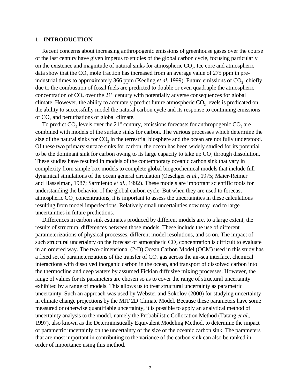#### **1. INTRODUCTION**

Recent concerns about increasing anthropogenic emissions of greenhouse gases over the course of the last century have given impetus to studies of the global carbon cycle, focusing particularly on the existence and magnitude of natural sinks for atmospheric  $CO<sub>2</sub>$ . Ice core and atmospheric data show that the  $CO<sub>2</sub>$  mole fraction has increased from an average value of 275 ppm in preindustrial times to approximately 366 ppm (Keeling *et al.* 1999). Future emissions of CO<sub>2</sub>, chiefly due to the combustion of fossil fuels are predicted to double or even quadruple the atmospheric concentration of  $CO<sub>2</sub>$  over the 21<sup>st</sup> century with potentially adverse consequences for global climate. However, the ability to accurately predict future atmospheric  $CO<sub>2</sub>$  levels is predicated on the ability to successfully model the natural carbon cycle and its response to continuing emissions of  $CO<sub>2</sub>$  and perturbations of global climate.

To predict  $CO<sub>2</sub>$  levels over the 21<sup>st</sup> century, emissions forecasts for anthropogenic  $CO<sub>2</sub>$  are combined with models of the surface sinks for carbon. The various processes which determine the size of the natural sinks for  $CO<sub>2</sub>$  in the terrestrial biosphere and the ocean are not fully understood. Of these two primary surface sinks for carbon, the ocean has been widely studied for its potential to be the dominant sink for carbon owing to its large capacity to take up  $CO<sub>2</sub>$  through dissolution. These studies have resulted in models of the contemporary oceanic carbon sink that vary in complexity from simple box models to complete global biogeochemical models that include full dynamical simulations of the ocean general circulation (Oeschger *et al.*, 1975; Maier-Reimer and Hasselman, 1987; Sarmiento *et al.*, 1992). These models are important scientific tools for understanding the behavior of the global carbon cycle. But when they are used to forecast atmospheric  $CO<sub>2</sub>$  concentrations, it is important to assess the uncertainties in these calculations resulting from model imperfections. Relatively small uncertainties now may lead to large uncertainties in future predictions.

Differences in carbon sink estimates produced by different models are, to a large extent, the results of structural differences between those models. These include the use of different parameterizations of physical processes, different model resolutions, and so on. The impact of such structural uncertainty on the forecast of atmospheric CO<sub>2</sub> concentration is difficult to evaluate in an ordered way. The two-dimensional (2-D) Ocean Carbon Model (OCM) used in this study has a fixed set of parameterizations of the transfer of  $CO<sub>2</sub>$  gas across the air-sea interface, chemical interactions with dissolved inorganic carbon in the ocean, and transport of dissolved carbon into the thermocline and deep waters by assumed Fickian diffusive mixing processes. However, the range of values for its parameters are chosen so as to cover the range of structural uncertainty exhibited by a range of models. This allows us to treat structural uncertainty as parametric uncertainty. Such an approach was used by Webster and Sokolov (2000) for studying uncertainty in climate change projections by the MIT 2D Climate Model. Because these parameters have some measured or otherwise quantifiable uncertainty, it is possible to apply an analytical method of uncertainty analysis to the model, namely the Probabilistic Collocation Method (Tatang *et al*., 1997), also known as the Deterministically Equivalent Modeling Method, to determine the impact of parametric uncertainly on the uncertainty of the size of the oceanic carbon sink. The parameters that are most important in contributing to the variance of the carbon sink can also be ranked in order of importance using this method.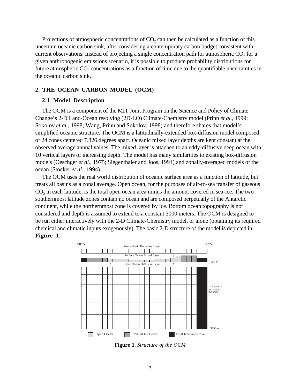Projections of atmospheric concentrations of  $CO<sub>2</sub>$  can then be calculated as a function of this uncertain oceanic carbon sink, after considering a contemporary carbon budget consistent with current observations. Instead of projecting a single concentration path for atmospheric  $CO<sub>2</sub>$  for a given anthropogenic emissions scenario, it is possible to produce probability distributions for future atmospheric  $CO_2$  concentrations as a function of time due to the quantifiable uncertainties in the oceanic carbon sink.

#### **2. THE OCEAN CARBON MODEL (OCM)**

#### **2.1 Model Description**

The OCM is a component of the MIT Joint Program on the Science and Policy of Climate Change's 2-D Land-Ocean resolving (2D-LO) Climate-Chemistry model (Prinn *et al.*, 1999; Sokolov *et al.*, 1998; Wang, Prinn and Sokolov, 1998) and therefore shares that model's simplified oceanic structure. The OCM is a latitudinally-extended box-diffusion model composed of 24 zones centered 7.826 degrees apart. Oceanic mixed layer depths are kept constant at the observed average annual values. The mixed layer is attached to an eddy-diffusive deep ocean with 10 vertical layers of increasing depth. The model has many similarities to existing box-diffusion models (Oeschger *et al.*, 1975; Siegenthaler and Joos, 1991) and zonally-averaged models of the ocean (Stocker *et al*., 1994).

The OCM uses the real world distribution of oceanic surface area as a function of latitude, but treats all basins as a zonal average. Open ocean, for the purposes of air-to-sea transfer of gaseous CO<sub>2</sub> in each latitude, is the total open ocean area minus the amount covered in sea-ice. The two southernmost latitude zones contain no ocean and are composed perpetually of the Antarctic continent, while the northernmost zone is covered by ice. Bottom ocean topography is not considered and depth is assumed to extend to a constant 3000 meters. The OCM is designed to be run either interactively with the 2-D Climate-Chemistry model, or alone (obtaining its required chemical and climatic inputs exogenously). The basic 2-D structure of the model is depicted in **Figure 1**.



**Figure 1**. *Structure of the OCM*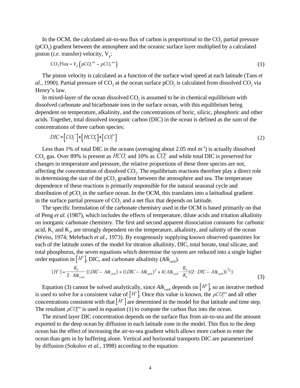In the OCM, the calculated air-to-sea flux of carbon is proportional to the  $CO<sub>2</sub>$  partial pressure  $(pCO<sub>2</sub>)$  gradient between the atmosphere and the oceanic surface layer multiplied by a calculated piston (*i.e.* transfer) velocity,  $V_p$ :

$$
CO_2 \text{Flux} = V_p \left( pCO_2^{\text{ air}} - pCO_2^{\text{ sea}} \right) \tag{1}
$$

The piston velocity is calculated as a function of the surface wind speed at each latitude (Tans *et al.*, 1990). Partial pressure of  $CO_2$  at the ocean surface  $pCO_2$  is calculated from dissolved  $CO_2$  via Henry's law.

In mixed-layer of the ocean dissolved  $CO<sub>2</sub>$  is assumed to be in chemical equilibrium with dissolved carbonate and bicarbonate ions in the surface ocean, with this equilibrium being dependent on temperature, alkalinity, and the concentrations of boric, silicic, phosphoric and other acids. Together, total dissolved inorganic carbon (DIC) in the ocean is defined as the sum of the concentrations of three carbon species:

$$
DIC = [CO2*] + [HCO32] + [CO32]
$$
\n(2)

Less than 1% of total DIC in the oceans (averaging about 2.05 mol  $m<sup>-3</sup>$ ) is actually dissolved CO<sub>2</sub> gas. Over 89% is present as  $HCO_3$  and 10% as  $CO_3^2$  and while total DIC is preserved for changes in temperature and pressure, the relative proportions of these three species are not, affecting the concentration of dissolved CO2. The equilibrium reactions therefore play a direct role in determining the size of the  $pCO<sub>2</sub>$  gradient between the atmosphere and sea. The temperature dependence of these reactions is primarily responsible for the natural seasonal cycle and distribution of  $pCO<sub>2</sub>$  in the surface ocean. In the OCM, this translates into a latitudinal gradient in the surface partial pressure of  $CO<sub>2</sub>$  and a net flux that depends on latitude.

The specific formulation of the carbonate chemistry used in the OCM is based primarily on that of Peng *et al.* (1987), which includes the effects of temperature, dilute acids and tritation alkalinity on inorganic carbonate chemistry. The first and second apparent dissociation constants for carbonic acid,  $K_1$  and  $K_2$ , are strongly dependent on the temperature, alkalinity, and salinity of the ocean (Weiss, 1974; Mehrbach *et al.*, 1973). By exogenously supplying known observed quantities for each of the latitude zones of the model for titration alkalinity, DIC, total borate, total silicate, and total phosphorus, the seven equations which determine the system are reduced into a single higher order equation in  $[H^+]$ , DIC, and carbonate alkalinity  $(Alk_{\text{curb}})$ .

$$
[H^+] = \frac{K_1}{2 \cdot Alk_{\text{carb}}} \{ (DIC - Alk_{\text{carb}}) + ((DIC - Alk_{\text{carb}})^2 + 4( Alk_{\text{carb}} \cdot \frac{K_2}{K_1}) (2 \cdot DIC - Alk_{\text{carb}}) \}^{1/2} \}
$$
(3)

Equation (3) cannot be solved analytically, since  $Alk_{\text{carb}}$  depends on  $[H^+]$ , so an iterative method is used to solve for a consistent value of  $[H^+]$ . Once this value is known, the  $pCQ_2^{\text{sea}}$  and all other concentrations consistent with that  $[H^+]$  are determined in the model for that latitude and time step. The resultant  $pCQ_2^{sea}$  is used in equation (1) to compute the carbon flux into the ocean.

The mixed layer DIC concentration depends on the surface flux from air-to-sea and the amount exported to the deep ocean by diffusion in each latitude zone in the model. This flux to the deep ocean has the effect of increasing the air-to-sea gradient which allows more carbon to enter the ocean than gets in by buffering alone. Vertical and horizontal transports DIC are parameterized by diffusion (Sokolov *et al.*, 1998) according to the equation: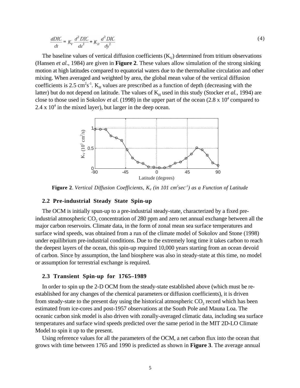$$
\frac{dDIC}{dt} = K_V \frac{d^2 DIC}{dz^2} + K_H \frac{d^2 DIC}{dy^2}
$$
\n(4)

The baseline values of vertical diffusion coefficients  $(K_v)$  determined from tritium observations (Hansen *et al.*, 1984) are given in **Figure 2**. These values allow simulation of the strong sinking motion at high latitudes compared to equatorial waters due to the thermohaline circulation and other mixing. When averaged and weighted by area, the global mean value of the vertical diffusion coefficients is 2.5 cm<sup>2</sup>s<sup>-1</sup>.  $K_H$  values are prescribed as a function of depth (decreasing with the latter) but do not depend on latitude. The values of  $K_H$  used in this study (Stocker *et al.*, 1994) are close to those used in Sokolov *et al.* (1998) in the upper part of the ocean  $(2.8 \times 10^4 \text{ compared to})$  $2.4 \times 10^4$  in the mixed layer), but larger in the deep ocean.



**Figure 2**. *Vertical Diffusion Coefficients, K<sub>v</sub> (in 101 cm<sup>2</sup>sec<sup>-1</sup>) as a Function of Latitude* 

#### **2.2 Pre-industrial Steady State Spin-up**

The OCM is initially spun-up to a pre-industrial steady-state, characterized by a fixed preindustrial atmospheric CO<sub>2</sub> concentration of 280 ppm and zero net annual exchange between all the major carbon reservoirs. Climate data, in the form of zonal mean sea surface temperatures and surface wind speeds, was obtained from a run of the climate model of Sokolov and Stone (1998) under equilibrium pre-industrial conditions. Due to the extremely long time it takes carbon to reach the deepest layers of the ocean, this spin-up required 10,000 years starting from an ocean devoid of carbon. Since by assumption, the land biosphere was also in steady-state at this time, no model or assumption for terrestrial exchange is required.

#### **2.3 Transient Spin-up for 1765–1989**

In order to spin up the 2-D OCM from the steady-state established above (which must be reestablished for any changes of the chemical parameters or diffusion coefficients), it is driven from steady-state to the present day using the historical atmospheric  $CO$ , record which has been estimated from ice-cores and post-1957 observations at the South Pole and Mauna Loa. The oceanic carbon sink model is also driven with zonally-averaged climatic data, including sea surface temperatures and surface wind speeds predicted over the same period in the MIT 2D-LO Climate Model to spin it up to the present.

Using reference values for all the parameters of the OCM, a net carbon flux into the ocean that grows with time between 1765 and 1990 is predicted as shown in **Figure 3**. The average annual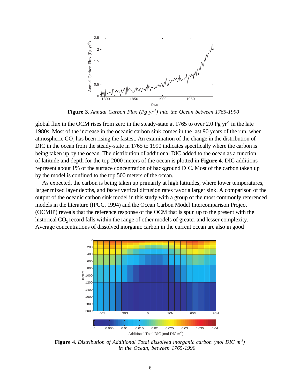

**Figure 3**. *Annual Carbon Flux (Pg yr-1) into the Ocean between 1765-1990*

global flux in the OCM rises from zero in the steady-state at  $1765$  to over 2.0 Pg yr<sup>-1</sup> in the late 1980s. Most of the increase in the oceanic carbon sink comes in the last 90 years of the run, when atmospheric CO<sub>2</sub> has been rising the fastest. An examination of the change in the distribution of DIC in the ocean from the steady-state in 1765 to 1990 indicates specifically where the carbon is being taken up by the ocean. The distribution of additional DIC added to the ocean as a function of latitude and depth for the top 2000 meters of the ocean is plotted in **Figure 4**. DIC additions represent about 1% of the surface concentration of background DIC. Most of the carbon taken up by the model is confined to the top 500 meters of the ocean.

As expected, the carbon is being taken up primarily at high latitudes, where lower temperatures, larger mixed layer depths, and faster vertical diffusion rates favor a larger sink. A comparison of the output of the oceanic carbon sink model in this study with a group of the most commonly referenced models in the literature (IPCC, 1994) and the Ocean Carbon Model Intercomparison Project (OCMIP) reveals that the reference response of the OCM that is spun up to the present with the historical  $CO<sub>2</sub>$  record falls within the range of other models of greater and lesser complexity. Average concentrations of dissolved inorganic carbon in the current ocean are also in good



**Figure 4**. *Distribution of Additional Total dissolved inorganic carbon (mol DIC m-3) in the Ocean, between 1765-1990*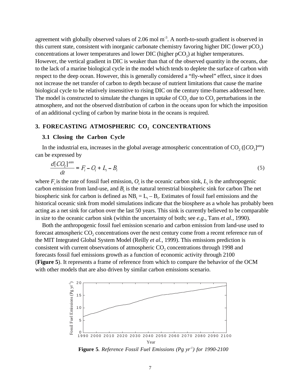agreement with globally observed values of 2.06 mol  $m<sup>3</sup>$ . A north-to-south gradient is observed in this current state, consistent with inorganic carbonate chemistry favoring higher DIC (lower pCO<sub>2</sub>) concentrations at lower temperatures and lower DIC (higher  $pCO<sub>2</sub>$ ) at higher temperatures. However, the vertical gradient in DIC is weaker than that of the observed quantity in the oceans, due to the lack of a marine biological cycle in the model which tends to deplete the surface of carbon with respect to the deep ocean. However, this is generally considered a "fly-wheel" effect, since it does not increase the net transfer of carbon to depth because of nutrient limitations that cause the marine biological cycle to be relatively insensitive to rising DIC on the century time-frames addressed here. The model is constructed to simulate the changes in uptake of  $CO<sub>2</sub>$  due to  $CO<sub>2</sub>$  perturbations in the atmosphere, and not the observed distribution of carbon in the oceans upon for which the imposition of an additional cycling of carbon by marine biota in the oceans is required.

### 3. FORECASTING ATMOSPHERIC CO<sub>2</sub> CONCENTRATIONS

#### **3.1 Closing the Carbon Cycle**

In the industrial era, increases in the global average atmospheric concentration of  $CO_2$  ([ $CO_2$ ]<sup>atm</sup>) can be expressed by

$$
\frac{d[CO_2]^{am}}{dt} = F_t - O_t + L_t - B_t \tag{5}
$$

where  $F_t$  is the rate of fossil fuel emission,  $O_t$  is the oceanic carbon sink,  $L_t$  is the anthropogenic carbon emission from land-use, and  $B_t$  is the natural terrestrial biospheric sink for carbon The net biospheric sink for carbon is defined as  $NB_t = L_t - B_t$ . Estimates of fossil fuel emissions and the historical oceanic sink from model simulations indicate that the biosphere as a whole has probably been acting as a net sink for carbon over the last 50 years. This sink is currently believed to be comparable in size to the oceanic carbon sink (within the uncertainty of both; see *e.g*., Tans *et al.*, 1990).

Both the anthropogenic fossil fuel emission scenario and carbon emission from land-use used to forecast atmospheric  $CO_2$  concentrations over the next century come from a recent reference run of the MIT Integrated Global System Model (Reilly *et al.,* 1999). This emissions prediction is consistent with current observations of atmospheric  $CO<sub>2</sub>$  concentrations through 1998 and forecasts fossil fuel emissions growth as a function of economic activity through 2100 (**Figure 5**). It represents a frame of reference from which to compare the behavior of the OCM with other models that are also driven by similar carbon emissions scenario.



**Figure 5***. Reference Fossil Fuel Emissions (Pg yr-1) for 1990-2100*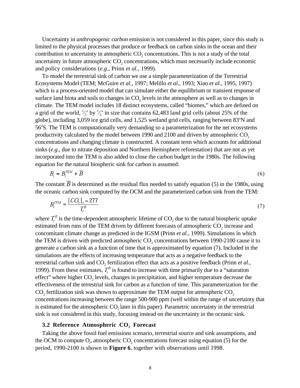Uncertainty in *anthropogenic carbon* emission is not considered in this paper, since this study is limited to the physical processes that produce or feedback on carbon sinks in the ocean and their contribution to uncertainty in atmospheric  $CO<sub>2</sub>$  concentrations. This is not a study of the total uncertainty in future atmospheric  $CO_2$  concentrations, which must necessarily include economic and policy considerations (*e.g*., Prinn *et al.*, 1999).

To model the terrestrial sink of carbon we use a simple parameterization of the Terrestrial Ecosystems Model (TEM; McGuire *et al.*, 1997; Melillo *et al*., 1993; Xiao *et al.*, 1995, 1997) which is a process-oriented model that can simulate either the equilibrium or transient response of surface land biota and soils to changes in  $CO<sub>2</sub>$  levels in the atmosphere as well as to changes in climate. The TEM model includes 18 distinct ecosystems, called "biomes," which are defined on a grid of the world,  $\frac{1}{2}$ ⁄  $\mathrm{^{\circ}}$  by  $\frac{1}{2}$ **∕** <sup>o</sup> in size that contains 62,483 land grid cells (about 25% of the globe), including 3,059 ice grid cells, and 1,525 wetland grid cells, ranging between 83°N and 56°S. The TEM is computationally very demanding so a parameterization for the net ecosystems productivity calculated by the model between 1990 and 2100 and driven by atmospheric  $CO<sub>2</sub>$ concentrations and changing climate is constructed. A constant term which accounts for additional sinks (*e.g*., due to nitrate deposition and Northern Hemisphere reforestation) that are not as yet incorporated into the TEM is also added to close the carbon budget in the 1980s. The following equation for the natural biospheric sink for carbon is assumed:

$$
B_t = B_t^{TEM} + \overline{B}
$$
 (6)

The constant  $\overline{B}$  is determined as the residual flux needed to satisfy equation (5) in the 1980s, using the oceanic carbon sink computed by the OCM and the parameterized carbon sink from the TEM:

$$
B_t^{TEM} = \frac{[CO_2]_t - 277}{T_t^B} \tag{7}
$$

where  $T_t^B$  is the time-dependent atmospheric lifetime of  $CO_2$  due to the natural biospheric uptake estimated from runs of the TEM driven by different forecasts of atmospheric CO<sub>2</sub> increase and concomitant climate change as predicted in the IGSM (Prinn *et al.*, 1999). Simulations in which the TEM is driven with predicted atmospheric  $CO<sub>2</sub>$  concentrations between 1990-2100 cause it to generate a carbon sink as a function of time that is approximated by equation (7). Included in the simulations are the effects of increasing temperature that acts as a negative feedback to the terrestrial carbon sink and CO<sub>2</sub> fertilization effect that acts as a positive feedback (Prinn *et al.*, 1999). From these estimates,  $T_t^B$  is found to increase with time primarily due to a "saturation" effect" where higher  $CO<sub>2</sub>$  levels, changes in precipitation, and higher temperature decrease the effectiveness of the terrestrial sink for carbon as a function of time. This parameterization for the  $CO<sub>2</sub>$  fertilization sink was shown to approximate the TEM output for atmospheric  $CO<sub>2</sub>$ concentrations increasing between the range 500-900 ppm (well within the range of uncertainty that is estimated for the atmospheric  $CO<sub>2</sub>$  later in this paper). Parametric uncertainty in the terrestrial sink is not considered in this study, focusing instead on the uncertainty in the oceanic sink.

#### **3.2 Reference Atmospheric CO<sub>2</sub> Forecast**

Taking the above fossil fuel emissions scenario, terrestrial source and sink assumptions, and the OCM to compute  $O_t$ , atmospheric  $CO_2$  concentrations forecast using equation (5) for the period, 1990-2100 is shown in **Figure 6**, together with observations until 1998.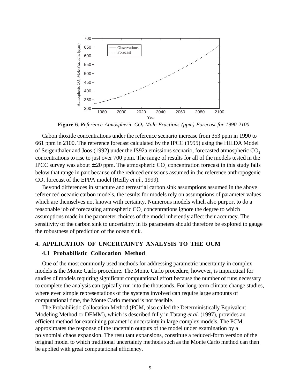

**Figure 6**. *Reference Atmospheric CO2 Mole Fractions (ppm) Forecast for 1990-2100*

Cabon dioxide concentrations under the reference scenario increase from 353 ppm in 1990 to 661 ppm in 2100. The reference forecast calculated by the IPCC (1995) using the HILDA Model of Seigenthaler and Joos (1992) under the IS92a emissions scenario, forecasted atmospheric CO<sub>2</sub> concentrations to rise to just over 700 ppm. The range of results for all of the models tested in the IPCC survey was about  $\pm 20$  ppm. The atmospheric CO<sub>2</sub> concentration forecast in this study falls below that range in part because of the reduced emissions assumed in the reference anthropogenic CO<sub>2</sub> forecast of the EPPA model (Reilly *et al.*, 1999).

Beyond differences in structure and terrestrial carbon sink assumptions assumed in the above referenced oceanic carbon models, the results for models rely on assumptions of parameter values which are themselves not known with certainty. Numerous models which also purport to do a reasonable job of forecasting atmospheric CO<sub>2</sub> concentrations ignore the degree to which assumptions made in the parameter choices of the model inherently affect their accuracy. The sensitivity of the carbon sink to uncertainty in its parameters should therefore be explored to gauge the robustness of prediction of the ocean sink.

#### **4. APPLICATION OF UNCERTAINTY ANALYSIS TO THE OCM**

#### **4.1 Probabilistic Collocation Method**

One of the most commonly used methods for addressing parametric uncertainty in complex models is the Monte Carlo procedure. The Monte Carlo procedure, however, is impractical for studies of models requiring significant computational effort because the number of runs necessary to complete the analysis can typically run into the thousands. For long-term climate change studies, where even simple representations of the systems involved can require large amounts of computational time, the Monte Carlo method is not feasible.

The Probabilistic Collocation Method (PCM, also called the Deterministically Equivalent Modeling Method or DEMM), which is described fully in Tatang *et al.* (1997), provides an efficient method for examining parametric uncertainty in large complex models. The PCM approximates the response of the uncertain outputs of the model under examination by a polynomial chaos expansion. The resultant expansions, constitute a reduced-form version of the original model to which traditional uncertainty methods such as the Monte Carlo method can then be applied with great computational efficiency.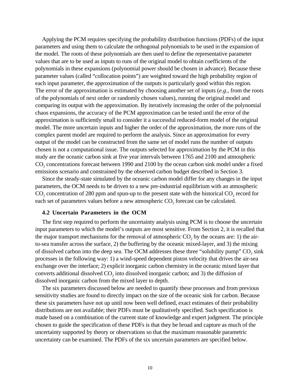Applying the PCM requires specifying the probability distribution functions (PDFs) of the input parameters and using them to calculate the orthogonal polynomials to be used in the expansion of the model. The roots of these polynomials are then used to define the representative parameter values that are to be used as inputs to runs of the original model to obtain coefficients of the polynomials in these expansions (polynomial power should be chosen in advance). Because these parameter values (called "collocation points") are weighted toward the high probability region of each input parameter, the approximation of the outputs is particularly good within this region. The error of the approximation is estimated by choosing another set of inputs (*e.g*., from the roots of the polynomials of next order or randomly chosen values), running the original model and comparing its output with the approximation. By iteratively increasing the order of the polynomial chaos expansions, the accuracy of the PCM approximation can be tested until the error of the approximation is sufficiently small to consider it a successful reduced-form model of the original model. The more uncertain inputs and higher the order of the approximation, the more runs of the complex parent model are required to perform the analysis. Since an approximation for every output of the model can be constructed from the same set of model runs the number of outputs chosen is not a computational issue. The outputs selected for approximation by the PCM in this study are the oceanic carbon sink at five year intervals between 1765 and 2100 and atmospheric CO<sub>2</sub> concentrations forecast between 1990 and 2100 by the ocean carbon sink model under a fixed emissions scenario and constrained by the observed carbon budget described in Section 3.

Since the steady-state simulated by the oceanic carbon model differ for any changes in the input parameters, the OCM needs to be driven to a new pre-industrial equilibrium with an atmospheric  $CO<sub>2</sub>$  concentration of 280 ppm and spun-up to the present state with the historical  $CO<sub>2</sub>$  record for each set of parameters values before a new atmospheric  $CO<sub>2</sub>$  forecast can be calculated.

#### **4.2 Uncertain Parameters in the OCM**

The first step required to perform the uncertainty analysis using PCM is to choose the uncertain input parameters to which the model's outputs are most sensitive. From Section 2, it is recalled that the major transport mechanisms for the removal of atmospheric  $CO<sub>2</sub>$  by the oceans are: 1) the airto-sea transfer across the surface, 2) the buffering by the oceanic mixed-layer, and 3) the mixing of dissolved carbon into the deep sea. The OCM addresses these three "solubility pump" CO<sub>2</sub> sink processes in the following way: 1) a wind-speed dependent piston velocity that drives the air-sea exchange over the interface; 2) explicit inorganic carbon chemistry in the oceanic mixed layer that converts additional dissolved  $CO<sub>2</sub>$  into dissolved inorganic carbon; and 3) the diffusion of dissolved inorganic carbon from the mixed layer to depth.

The six parameters discussed below are needed to quantify these processes and from previous sensitivity studies are found to directly impact on the size of the oceanic sink for carbon. Because these six parameters have not up until now been well defined, exact estimates of their probability distributions are not available; their PDFs must be qualitatively specified. Such specification is made based on a combination of the current state of knowledge and expert judgment. The principle chosen to guide the specification of these PDFs is that they be broad and capture as much of the uncertainty supported by theory or observations so that the maximum reasonable parametric uncertainty can be examined. The PDFs of the six uncertain parameters are specified below.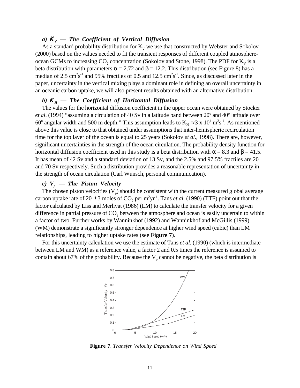#### *a)*  $K_v$  — The Coefficient of Vertical Diffusion

As a standard probability distribution for  $K_v$  we use that constructed by Webster and Sokolov (2000) based on the values needed to fit the transient responses of different coupled atmosphereocean GCMs to increasing  $CO_2$  concentration (Sokolov and Stone, 1998). The PDF for  $K_v$  is a beta distribution with parameters  $\alpha = 2.72$  and  $\beta = 12.2$ . This distribution (see Figure 8) has a median of 2.5 cm<sup>2</sup>s<sup>-1</sup> and 95% fractiles of 0.5 and 12.5 cm<sup>2</sup>s<sup>-1</sup>. Since, as discussed later in the paper, uncertainty in the vertical mixing plays a dominant role in defining an overall uncertainty in an oceanic carbon uptake, we will also present results obtained with an alternative distribution.

#### *b)* **K**<sub>*H*</sub> *— The Coefficient of Horizontal Diffusion*

The values for the horizontal diffusion coefficient in the upper ocean were obtained by Stocker et al. (1994) "assuming a circulation of 40 Sv in a latitude band between 20° and 40° latitude over 60<sup>o</sup> angular width and 500 m depth." This assumption leads to  $K_H \approx 3 \times 10^4$  m<sup>2</sup>s<sup>-1</sup>. As mentioned above this value is close to that obtained under assumptions that inter-hemispheric recirculation time for the top layer of the ocean is equal to 25 years (Sokolov *et al.*, 1998). There are, however, significant uncertainties in the strength of the ocean circulation. The probability density function for horizontal diffusion coefficient used in this study is a beta distribution with  $\alpha = 8.3$  and  $\beta = 41.5$ . It has mean of 42 Sv and a standard deviation of 13 Sv, and the 2.5% and 97.5% fractiles are 20 and 70 Sv respectively. Such a distribution provides a reasonable representation of uncertainty in the strength of ocean circulation (Carl Wunsch, personal communication).

#### $c) V_p$  — The Piston Velocity

The chosen piston velocities  $(V_p)$  should be consistent with the current measured global average carbon uptake rate of  $20 \pm 3$  moles of  $CO_2$  per m<sup>2</sup>yr<sup>-1</sup>. Tans *et al.* (1990) (TTF) point out that the factor calculated by Liss and Merlivat (1986) (LM) to calculate the transfer velocity for a given difference in partial pressure of CO<sub>2</sub> between the atmosphere and ocean is easily uncertain to within a factor of two. Further works by Wanninkhof (1992) and Wanninkhof and McGillis (1999) (WM) demonstrate a significantly stronger dependence at higher wind speed (cubic) than LM relationships, leading to higher uptake rates (see **Figure 7**).

For this uncertainty calculation we use the estimate of Tans *et al.* (1990) (which is intermediate between LM and WM) as a reference value, a factor 2 and 0.5 times the reference is assumed to contain about 67% of the probability. Because the  $V_p$  cannot be negative, the beta distribution is



**Figure 7**. *Transfer Velocity Dependence on Wind Speed*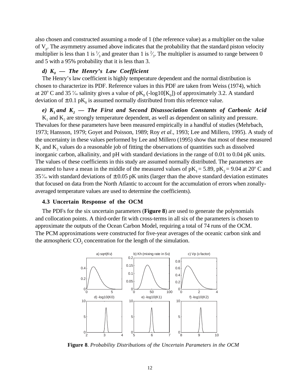also chosen and constructed assuming a mode of 1 (the reference value) as a multiplier on the value of  $V_p$ . The asymmetry assumed above indicates that the probability that the standard piston velocity multiplier is less than 1 is  $\frac{1}{3}$  and greater than 1 is  $\frac{2}{3}$ . The multiplier is assumed to range between 0 ⁄ ∕ and 5 with a 95% probability that it is less than 3.

#### *d)*  $K_0$  — The Henry's Law Coefficient

The Henry's law coefficient is highly temperature dependent and the normal distribution is chosen to characterize its PDF. Reference values in this PDF are taken from Weiss (1974), which at 20° C and 35 ‰ salinity gives a value of  $pK_0$  (-log10[K<sub>0</sub>]) of approximately 3.2. A standard deviation of  $\pm$  0.1 pK<sub>0</sub> is assumed normally distributed from this reference value.

 $e)$  K<sub>1</sub> and K<sub>2</sub> — The First and Second Disassociation Constants of Carbonic Acid

 $K_1$  and  $K_2$  are strongly temperature dependent, as well as dependent on salinity and pressure. Thevalues for these parameters have been measured empirically in a handful of studies (Mehrbach, 1973; Hansson, 1979; Goyet and Poisson, 1989; Roy *et al*., 1993; Lee and Millero, 1995). A study of the uncertainty in these values performed by Lee and Millero (1995) show that most of these measured  $K<sub>1</sub>$  and  $K<sub>2</sub>$  values do a reasonable job of fitting the observations of quantities such as dissolved inorganic carbon, alkalinity, and pH with standard deviations in the range of 0.01 to 0.04 pK units. The values of these coefficients in this study are assumed normally distributed. The parameters are assumed to have a mean in the middle of the measured values of  $pK_1 = 5.89$ ,  $pK_2 = 9.04$  at 20° C and 35% with standard deviations of  $\pm$  0.05 pK units (larger than the above standard deviation estimates that focused on data from the North Atlantic to account for the accumulation of errors when zonallyaveraged temperature values are used to determine the coefficients).

#### **4.3 Uncertain Response of the OCM**

The PDFs for the six uncertain parameters (**Figure 8**) are used to generate the polynomials and collocation points. A third-order fit with cross-terms in all six of the parameters is chosen to approximate the outputs of the Ocean Carbon Model, requiring a total of 74 runs of the OCM. The PCM approximations were constructed for five-year averages of the oceanic carbon sink and the atmospheric  $CO<sub>2</sub>$  concentration for the length of the simulation.



**Figure 8**. *Probability Distributions of the Uncertain Parameters in the OCM*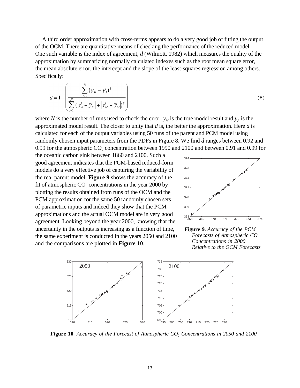A third order approximation with cross-terms appears to do a very good job of fitting the output of the OCM. There are quantitative means of checking the performance of the reduced model. One such variable is the index of agreement, *d* (Wilmott, 1982) which measures the quality of the approximation by summarizing normally calculated indexes such as the root mean square error, the mean absolute error, the intercept and the slope of the least-squares regression among others. Specifically:

$$
d = 1 - \left( \frac{\sum_{i=1}^{N} (y_M^i - y_A^i)^2}{\sum_{i=1}^{N} (y_A^i - \overline{y}_M^i + |y_M^i - \overline{y}_M^i|^2)} \right)
$$
(8)

where *N* is the number of runs used to check the error,  $y_M$  is the true model result and  $y_A$  is the approximated model result. The closer to unity that *d* is, the better the approximation. Here *d* is calculated for each of the output variables using 50 runs of the parent and PCM model using randomly chosen input parameters from the PDFs in Figure 8. We find *d* ranges between 0.92 and 0.99 for the atmospheric  $CO<sub>2</sub>$  concentration between 1990 and 2100 and between 0.91 and 0.99 for

the oceanic carbon sink between 1860 and 2100. Such a good agreement indicates that the PCM-based reduced-form models do a very effective job of capturing the variability of the real parent model. **Figure 9** shows the accuracy of the fit of atmospheric  $CO<sub>2</sub>$  concentrations in the year 2000 by plotting the results obtained from runs of the OCM and the PCM approximation for the same 50 randomly chosen sets of parametric inputs and indeed they show that the PCM approximations and the actual OCM model are in very good agreement. Looking beyond the year 2000, knowing that the uncertainty in the outputs is increasing as a function of time, the same experiment is conducted in the years 2050 and 2100 and the comparisons are plotted in **Figure 10**.



**Figure 9**. *Accuracy of the PCM Forecasts of Atmospheric CO<sub>2</sub> Concentrations in 2000 Relative to the OCM Forecasts*



**Figure 10***. Accuracy of the Forecast of Atmospheric CO<sub>2</sub> Concentrations in 2050 and 2100*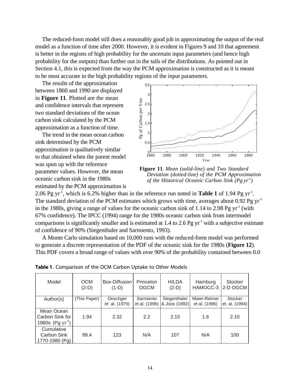The reduced-form model still does a reasonably good job in approximating the output of the real model as a function of time after 2000. However, it is evident in Figures 9 and 10 that agreement is better in the regions of high probability for the uncertain input parameters (and hence high probability for the outputs) than further out in the tails of the distributions. As pointed out in Section 4.1, this is expected from the way the PCM approximation is constructed as it is meant to be most accurate in the high probability regions of the input parameters.

The results of the approximation between 1860 and 1990 are displayed in **Figure 11**. Plotted are the mean and confidence intervals that represent two standard deviations of the ocean carbon sink calculated by the PCM approximation as a function of time.

The trend in the mean ocean carbon sink determined by the PCM approximation is qualitatively similar to that obtained when the parent model was spun up with the reference parameter values. However, the mean oceanic carbon sink in the 1980s estimated by the PCM approximation is



**Figure 11**. *Mean (solid-line) and Two Standard Deviation (dotted-line) of the PCM Approximation of the Historical Oceanic Carbon Sink (Pg yr-1)*

2.06 Pg yr-1, which is 6.2% higher than in the reference run noted in **Table 1** of 1.94 Pg yr-1. The standard deviation of the PCM estimates which grows with time, averages about 0.92 Pg  $yr<sup>-1</sup>$ in the 1980s, giving a range of values for the oceanic carbon sink of 1.14 to 2.98 Pg  $yr^{-1}$  (with 67% confidence). The IPCC (1994) range for the 1980s oceanic carbon sink from intermodel comparisons is significantly smaller and is estimated at 1.4 to 2.6 Pg  $yr<sup>-1</sup>$  with a subjective estimate of confidence of 90% (Siegenthaler and Sarmiento, 1993).

A Monte Carlo simulation based on 10,000 runs with the reduced-form model was performed to generate a discrete representation of the PDF of the oceanic sink for the 1980s (**Figure 12**). This PDF covers a broad range of values with over 90% of the probability contained between 0.0

| Model                                                  | <b>OCM</b><br>$(2-D)$ | Box-Diffusion<br>$(1-D)$  | Princeton<br><b>OGCM</b>   | <b>HILDA</b><br>$(2-D)$       | Hamburg<br>HAMOCC-3           | <b>Stocker</b><br>2-D OGCM       |
|--------------------------------------------------------|-----------------------|---------------------------|----------------------------|-------------------------------|-------------------------------|----------------------------------|
| Author(s)                                              | (This Paper)          | Oeschger<br>et al. (1975) | Sarmiento<br>et al. (1996) | Siegenthaler<br>& Joos (1992) | Maier-Reimer<br>et al. (1996) | <b>Stocker</b><br>et. al. (1994) |
| Mean Ocean<br>Carbon Sink for<br>1980s (Pg $yr^{-1}$ ) | 1.94                  | 2.32                      | $2.2^{\circ}$              | 2.15                          | 1.6                           | 2.10                             |
| Cumulative<br>Carbon Sink<br>1770-1980 (Pg)            | 99.4                  | 123                       | N/A                        | 107                           | N/A                           | 100                              |

**Table 1**. Comparison of the OCM Carbon Uptake to Other Models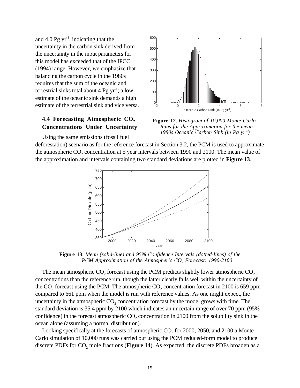and 4.0 Pg  $yr^{-1}$ , indicating that the uncertainty in the carbon sink derived from the uncertainty in the input parameters for this model has exceeded that of the IPCC (1994) range. However, we emphasize that balancing the carbon cycle in the 1980s requires that the sum of the oceanic and terrestrial sinks total about  $4 \text{ Pg yr}^{-1}$ ; a low estimate of the oceanic sink demands a high estimate of the terrestrial sink and vice versa.

#### **4.4 Forecasting Atmospheric CO<sub>2</sub> Concentrations Under Uncertainty**



**Figure 12**. *Histogram of 10,000 Monte Carlo Runs for the Approximation for the mean 1980s Oceanic Carbon Sink (in Pg yr-1)*

Using the same emissions (fossil fuel +

deforestation) scenario as for the reference forecast in Section 3.2, the PCM is used to approximate the atmospheric  $CO_2$  concentration at 5 year intervals between 1990 and 2100. The mean value of the approximation and intervals containing two standard deviations are plotted in **Figure 13**.



**Figure 13***. Mean (solid-line) and 95% Confidence Intervals (dotted-lines) of the PCM Approximation of the Atmospheric CO<sub>2</sub> Forecast: 1990-2100* 

The mean atmospheric  $CO<sub>2</sub>$  forecast using the PCM predicts slightly lower atmospheric  $CO<sub>2</sub>$ concentrations than the reference run, though the latter clearly falls well within the uncertainty of the CO<sub>2</sub> forecast using the PCM. The atmospheric CO<sub>2</sub> concentration forecast in 2100 is 659 ppm compared to 661 ppm when the model is run with reference values. As one might expect, the uncertainty in the atmospheric  $CO<sub>2</sub>$  concentration forecast by the model grows with time. The standard deviation is 35.4 ppm by 2100 which indicates an uncertain range of over 70 ppm (95% confidence) in the forecast atmospheric  $CO<sub>2</sub>$  concentration in 2100 from the solubility sink in the ocean alone (assuming a normal distribution).

Looking specifically at the forecasts of atmospheric  $CO<sub>2</sub>$  for 2000, 2050, and 2100 a Monte Carlo simulation of 10,000 runs was carried out using the PCM reduced-form model to produce discrete PDFs for CO<sub>2</sub> mole fractions (**Figure 14**). As expected, the discrete PDFs broaden as a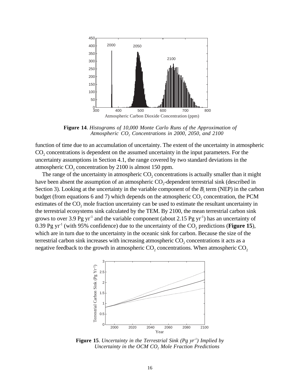

**Figure 14**. *Histograms of 10,000 Monte Carlo Runs of the Approximation of Atmospheric CO2 Concentrations in 2000, 2050, and 2100*

function of time due to an accumulation of uncertainty. The extent of the uncertainty in atmospheric CO<sub>2</sub> concentrations is dependent on the assumed uncertainty in the input parameters. For the uncertainty assumptions in Section 4.1, the range covered by two standard deviations in the atmospheric  $CO<sub>2</sub>$  concentration by 2100 is almost 150 ppm.

The range of the uncertainty in atmospheric  $CO<sub>2</sub>$  concentrations is actually smaller than it might have been absent the assumption of an atmospheric  $CO_2$ -dependent terrestrial sink (described in Section 3). Looking at the uncertainty in the variable component of the  $B_t$  term (NEP) in the carbon budget (from equations 6 and 7) which depends on the atmospheric  $CO<sub>2</sub>$  concentration, the PCM estimates of the  $CO<sub>2</sub>$  mole fraction uncertainty can be used to estimate the resultant uncertainty in the terrestrial ecosystems sink calculated by the TEM. By 2100, the mean terrestrial carbon sink grows to over 3.9 Pg yr<sup>-1</sup> and the variable component (about 2.15 Pg yr<sup>-1</sup>) has an uncertainty of 0.39 Pg yr<sup>-1</sup> (with 95% confidence) due to the uncertainty of the  $CO_2$  predictions (**Figure 15**), which are in turn due to the uncertainty in the oceanic sink for carbon. Because the size of the terrestrial carbon sink increases with increasing atmospheric  $CO<sub>2</sub>$  concentrations it acts as a negative feedback to the growth in atmospheric  $CO<sub>2</sub>$  concentrations. When atmospheric  $CO<sub>2</sub>$ 



**Figure 15**. *Uncertainty in the Terrestrial Sink (Pg yr<sup>1</sup>) Implied by Uncertainty in the OCM CO2 Mole Fraction Predictions*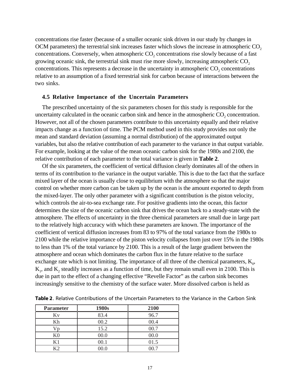concentrations rise faster (because of a smaller oceanic sink driven in our study by changes in OCM parameters) the terrestrial sink increases faster which slows the increase in atmospheric CO<sub>2</sub> concentrations. Conversely, when atmospheric  $CO<sub>2</sub>$  concentrations rise slowly because of a fast growing oceanic sink, the terrestrial sink must rise more slowly, increasing atmospheric  $CO<sub>2</sub>$ concentrations. This represents a decrease in the uncertainty in atmospheric  $CO<sub>2</sub>$  concentrations relative to an assumption of a fixed terrestrial sink for carbon because of interactions between the two sinks.

#### **4.5 Relative Importance of the Uncertain Parameters**

The prescribed uncertainty of the six parameters chosen for this study is responsible for the uncertainty calculated in the oceanic carbon sink and hence in the atmospheric CO<sub>2</sub> concentration. However, not all of the chosen parameters contribute to this uncertainty equally and their relative impacts change as a function of time. The PCM method used in this study provides not only the mean and standard deviation (assuming a normal distribution) of the approximated output variables, but also the relative contribution of each parameter to the variance in that output variable. For example, looking at the value of the mean oceanic carbon sink for the 1980s and 2100, the relative contribution of each parameter to the total variance is given in **Table 2**.

Of the six parameters, the coefficient of vertical diffusion clearly dominates all of the others in terms of its contribution to the variance in the output variable. This is due to the fact that the surface mixed layer of the ocean is usually close to equilibrium with the atmosphere so that the major control on whether more carbon can be taken up by the ocean is the amount exported to depth from the mixed-layer. The only other parameter with a significant contribution is the piston velocity, which controls the air-to-sea exchange rate. For positive gradients into the ocean, this factor determines the size of the oceanic carbon sink that drives the ocean back to a steady-state with the atmosphere. The effects of uncertainty in the three chemical parameters are small due in large part to the relatively high accuracy with which these parameters are known. The importance of the coefficient of vertical diffusion increases from 83 to 97% of the total variance from the 1980s to 2100 while the relative importance of the piston velocity collapses from just over 15% in the 1980s to less than 1% of the total variance by 2100. This is a result of the large gradient between the atmosphere and ocean which dominates the carbon flux in the future relative to the surface exchange rate which is not limiting. The importance of all three of the chemical parameters,  $K_0$ ,  $K<sub>1</sub>$ , and  $K<sub>2</sub>$  steadily increases as a function of time, but they remain small even in 2100. This is due in part to the effect of a changing effective "Revelle Factor" as the carbon sink becomes increasingly sensitive to the chemistry of the surface water. More dissolved carbon is held as

| <b>Parameter</b> | 1980s | 2100 |
|------------------|-------|------|
| Κv               | 83.4  | 96.7 |
| Kh               | 00.2  | 00.4 |
| n                | 15.2  | 00.7 |
| K0               | 00.0  | 00.0 |
| Κ1               | 00.1  | 01.5 |
| K2               | 00.0  | NO 7 |

**Table 2**. Relative Contributions of the Uncertain Parameters to the Variance in the Carbon Sink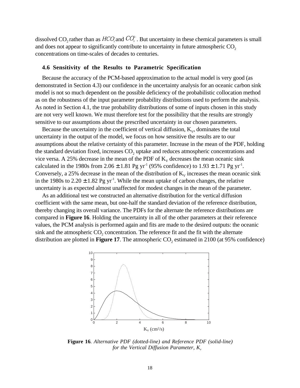dissolved CO<sub>2</sub> rather than as  $HCO_3^{\circ}$  and  $CO_3^{\circ}$ . But uncertainty in these chemical parameters is small and does not appear to significantly contribute to uncertainty in future atmospheric  $CO<sub>2</sub>$ concentrations on time-scales of decades to centuries.

#### **4.6 Sensitivity of the Results to Parametric Specification**

Because the accuracy of the PCM-based approximation to the actual model is very good (as demonstrated in Section 4.3) our confidence in the uncertainty analysis for an oceanic carbon sink model is not so much dependent on the possible deficiency of the probabilistic collocation method as on the robustness of the input parameter probability distributions used to perform the analysis. As noted in Section 4.1, the true probability distributions of some of inputs chosen in this study are not very well known. We must therefore test for the possibility that the results are strongly sensitive to our assumptions about the prescribed uncertainty in our chosen parameters.

Because the uncertainty in the coefficient of vertical diffusion,  $K_v$ , dominates the total uncertainty in the output of the model, we focus on how sensitive the results are to our assumptions about the relative certainty of this parameter. Increase in the mean of the PDF, holding the standard deviation fixed, increases CO<sub>2</sub> uptake and reduces atmospheric concentrations and vice versa. A 25% decrease in the mean of the PDF of  $K_v$  decreases the mean oceanic sink calculated in the 1980s from 2.06  $\pm$  1.81 Pg yr<sup>-1</sup> (95% confidence) to 1.93  $\pm$  1.71 Pg yr<sup>-1</sup>. Conversely, a 25% decrease in the mean of the distribution of  $K_v$  increases the mean oceanic sink in the 1980s to  $2.20 \pm 1.82$  Pg yr<sup>-1</sup>. While the mean uptake of carbon changes, the relative uncertainty is as expected almost unaffected for modest changes in the mean of the parameter.

As an additional test we constructed an alternative distribution for the vertical diffusion coefficient with the same mean, but one-half the standard deviation of the reference distribution, thereby changing its overall variance. The PDFs for the alternate the reference distributions are compared in **Figure 16**. Holding the uncertainty in all of the other parameters at their reference values, the PCM analysis is performed again and fits are made to the desired outputs: the oceanic sink and the atmospheric  $CO$ , concentration. The reference fit and the fit with the alternate distribution are plotted in **Figure 17**. The atmospheric CO<sub>2</sub> estimated in 2100 (at 95% confidence)



**Figure 16***. Alternative PDF (dotted-line) and Reference PDF (solid-line) for the Vertical Diffusion Parameter,*  $K_v$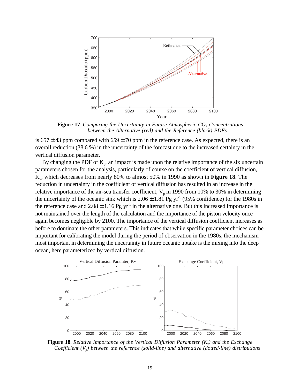

**Figure 17.** *Comparing the Uncertainty in Future Atmospheric CO<sub>2</sub> Concentrations between the Alternative (red) and the Reference (black) PDFs*

is 657  $\pm$  43 ppm compared with 659  $\pm$  70 ppm in the reference case. As expected, there is an overall reduction (38.6 %) in the uncertainty of the forecast due to the increased certainty in the vertical diffusion parameter.

By changing the PDF of  $K_{v}$ , an impact is made upon the relative importance of the six uncertain parameters chosen for the analysis, particularly of course on the coefficient of vertical diffusion, Kv, which decreases from nearly 80% to almost 50% in 1990 as shown in **Figure 18**. The reduction in uncertainty in the coefficient of vertical diffusion has resulted in an increase in the relative importance of the air-sea transfer coefficient,  $V_p$  in 1990 from 10% to 30% in determining the uncertainty of the oceanic sink which is  $2.06 \pm 1.81$  Pg yr<sup>-1</sup> (95% confidence) for the 1980s in the reference case and  $2.08 \pm 1.16$  Pg yr<sup>-1</sup> in the alternative one. But this increased importance is not maintained over the length of the calculation and the importance of the piston velocity once again becomes negligible by 2100. The importance of the vertical diffusion coefficient increases as before to dominate the other parameters. This indicates that while specific parameter choices can be important for calibrating the model during the period of observation in the 1980s, the mechanism most important in determining the uncertainty in future oceanic uptake is the mixing into the deep ocean, here parameterized by vertical diffusion.



**Figure 18**. *Relative Importance of the Vertical Diffusion Parameter*  $(K_v)$  *and the Exchange Coefficient (Vp) between the reference (solid-line) and alternative (dotted-line) distributions*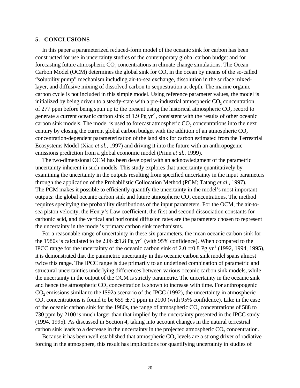#### **5. CONCLUSIONS**

In this paper a parameterized reduced-form model of the oceanic sink for carbon has been constructed for use in uncertainty studies of the contemporary global carbon budget and for forecasting future atmospheric  $CO<sub>2</sub>$  concentrations in climate change simulations. The Ocean Carbon Model (OCM) determines the global sink for  $CO<sub>2</sub>$  in the ocean by means of the so-called "solubility pump" mechanism including air-to-sea exchange, dissolution in the surface mixedlayer, and diffusive mixing of dissolved carbon to sequestration at depth. The marine organic carbon cycle is not included in this simple model. Using reference parameter values, the model is initialized by being driven to a steady-state with a pre-industrial atmospheric  $CO<sub>2</sub>$  concentration of 277 ppm before being spun up to the present using the historical atmospheric  $CO<sub>2</sub>$  record to generate a current oceanic carbon sink of 1.9 Pg  $yr^{-1}$ , consistent with the results of other oceanic carbon sink models. The model is used to forecast atmospheric  $CO<sub>2</sub>$  concentrations into the next century by closing the current global carbon budget with the addition of an atmospheric CO<sub>2</sub> concentration-dependent parameterization of the land sink for carbon estimated from the Terrestrial Ecosystems Model (Xiao *et al.,* 1997) and driving it into the future with an anthropogenic emissions prediction from a global economic model (Prinn *et al.*, 1999).

The two-dimensional OCM has been developed with an acknowledgment of the parametric uncertainty inherent in such models. This study explores that uncertainty quantitatively by examining the uncertainty in the outputs resulting from specified uncertainty in the input parameters through the application of the Probabilistic Collocation Method (PCM; Tatang *et al*., 1997). The PCM makes it possible to efficiently quantify the uncertainty in the model's most important outputs: the global oceanic carbon sink and future atmospheric  $CO$ , concentrations. The method requires specifying the probability distributions of the input parameters. For the OCM, the air-tosea piston velocity, the Henry's Law coefficient, the first and second dissociation constants for carbonic acid, and the vertical and horizontal diffusion rates are the parameters chosen to represent the uncertainty in the model's primary carbon sink mechanisms.

For a reasonable range of uncertainty in these six parameters, the mean oceanic carbon sink for the 1980s is calculated to be  $2.06 \pm 1.8$  Pg yr<sup>-1</sup> (with 95% confidence). When compared to the IPCC range for the uncertainty of the oceanic carbon sink of  $2.0 \pm 0.8$  Pg yr<sup>-1</sup> (1992, 1994, 1995), it is demonstrated that the parametric uncertainty in this oceanic carbon sink model spans almost twice this range. The IPCC range is due primarily to an undefined combination of parametric and structural uncertainties underlying differences between various oceanic carbon sink models, while the uncertainty in the output of the OCM is strictly parametric. The uncertainty in the oceanic sink and hence the atmospheric  $CO<sub>2</sub>$  concentration is shown to increase with time. For anthropogenic CO<sub>2</sub> emissions similar to the IS92a scenario of the IPCC (1992), the uncertainty in atmospheric CO<sub>2</sub> concentrations is found to be  $659 \pm 71$  ppm in 2100 (with 95% confidence). Like in the case of the oceanic carbon sink for the 1980s, the range of atmospheric  $CO<sub>2</sub>$  concentrations of 588 to 730 ppm by 2100 is much larger than that implied by the uncertainty presented in the IPCC study (1994, 1995). As discussed in Section 4, taking into account changes in the natural terrestrial carbon sink leads to a decrease in the uncertainty in the projected atmospheric CO<sub>2</sub> concentration.

Because it has been well established that atmospheric CO<sub>2</sub> levels are a strong driver of radiative forcing in the atmosphere, this result has implications for quantifying uncertainty in studies of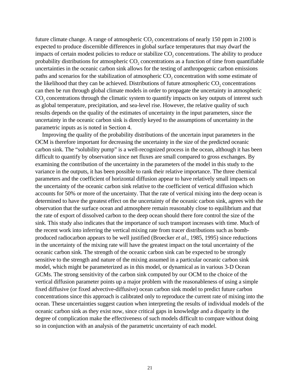future climate change. A range of atmospheric  $CO$ , concentrations of nearly 150 ppm in 2100 is expected to produce discernible differences in global surface temperatures that may dwarf the impacts of certain modest policies to reduce or stabilize  $CO<sub>2</sub>$  concentrations. The ability to produce probability distributions for atmospheric  $CO<sub>2</sub>$  concentrations as a function of time from quantifiable uncertainties in the oceanic carbon sink allows for the testing of anthropogenic carbon emissions paths and scenarios for the stabilization of atmospheric  $CO<sub>2</sub>$  concentration with some estimate of the likelihood that they can be achieved. Distributions of future atmospheric  $CO<sub>2</sub>$  concentrations can then be run through global climate models in order to propagate the uncertainty in atmospheric CO<sub>2</sub> concentrations through the climatic system to quantify impacts on key outputs of interest such as global temperature, precipitation, and sea-level rise. However, the relative quality of such results depends on the quality of the estimates of uncertainty in the input parameters, since the uncertainty in the oceanic carbon sink is directly keyed to the assumptions of uncertainty in the parametric inputs as is noted in Section 4.

Improving the quality of the probability distributions of the uncertain input parameters in the OCM is therefore important for decreasing the uncertainty in the size of the predicted oceanic carbon sink. The "solubility pump" is a well-recognized process in the ocean, although it has been difficult to quantify by observation since net fluxes are small compared to gross exchanges. By examining the contribution of the uncertainty in the parameters of the model in this study to the variance in the outputs, it has been possible to rank their relative importance. The three chemical parameters and the coefficient of horizontal diffusion appear to have relatively small impacts on the uncertainty of the oceanic carbon sink relative to the coefficient of vertical diffusion which accounts for 50% or more of the uncertainty. That the rate of vertical mixing into the deep ocean is determined to have the greatest effect on the uncertainty of the oceanic carbon sink, agrees with the observation that the surface ocean and atmosphere remain reasonably close to equilibrium and that the rate of export of dissolved carbon to the deep ocean should there fore control the size of the sink. This study also indicates that the importance of such transport increases with time. Much of the recent work into inferring the vertical mixing rate from tracer distributions such as bombproduced radiocarbon appears to be well justified (Broecker *et al*., 1985, 1995) since reductions in the uncertainty of the mixing rate will have the greatest impact on the total uncertainty of the oceanic carbon sink. The strength of the oceanic carbon sink can be expected to be strongly sensitive to the strength and nature of the mixing assumed in a particular oceanic carbon sink model, which might be parameterized as in this model, or dynamical as in various 3-D Ocean GCMs. The strong sensitivity of the carbon sink computed by our OCM to the choice of the vertical diffusion parameter points up a major problem with the reasonableness of using a simple fixed diffusive (or fixed advective-diffusive) ocean carbon sink model to predict future carbon concentrations since this approach is calibrated only to reproduce the current rate of mixing into the ocean. These uncertainties suggest caution when interpreting the results of individual models of the oceanic carbon sink as they exist now, since critical gaps in knowledge and a disparity in the degree of complication make the effectiveness of such models difficult to compare without doing so in conjunction with an analysis of the parametric uncertainty of each model.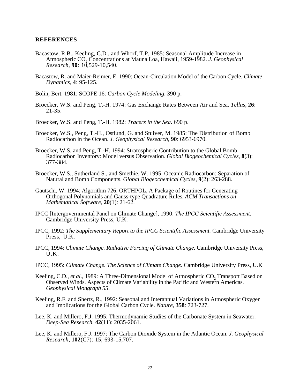#### **REFERENCES**

- Bacastow, R.B., Keeling, C.D., and Whorf, T.P. 1985: Seasonal Amplitude Increase in Atmospheric CO2 Concentrations at Mauna Loa, Hawaii, 1959-1982. *J. Geophysical Research*, **90**: 10,529-10,540.
- Bacastow, R. and Maier-Reimer, E. 1990: Ocean-Circulation Model of the Carbon Cycle. *Climate Dynamics*, **4**: 95-125.

Bolin, Bert. 1981: SCOPE 16: *Carbon Cycle Modeling*. 390 p.

Broecker, W.S. and Peng, T.-H. 1974: Gas Exchange Rates Between Air and Sea. *Tellus*, **26**: 21-35.

Broecker, W.S. and Peng, T.-H. 1982: *Tracers in the Sea*. 690 p.

- Broecker, W.S., Peng, T.-H., Ostlund, G. and Stuiver, M. 1985: The Distribution of Bomb Radiocarbon in the Ocean. *J. Geophysical Research*, **90**: 6953-6970.
- Broecker, W.S. and Peng, T.-H. 1994: Stratospheric Contribution to the Global Bomb Radiocarbon Inventory: Model versus Observation. *Global Biogeochemical Cycles*, **8**(3): 377-384.
- Broecker, W.S., Sutherland S., and Smethie, W. 1995: Oceanic Radiocarbon: Separation of Natural and Bomb Components. *Global Biogeochemical Cycles*, **9**(2): 263-288.
- Gautschi, W. 1994: Algorithm 726: ORTHPOL, A Package of Routines for Generating Orthogonal Polynomials and Gauss-type Quadrature Rules. *ACM Transactions on Mathematical Software*, **20**(1): 21-62.
- IPCC [Intergovernmental Panel on Climate Change], 1990: *The IPCC Scientific Assessment*. Cambridge University Press, U.K.
- IPCC, 1992: *The Supplementary Report to the IPCC Scientific Assessment.* Cambridge University Press, U.K.
- IPCC, 1994: *Climate Change. Radiative Forcing of Climate Change.* Cambridge University Press, U.K.
- IPCC, 1995: *Climate Change. The Science of Climate Change.* Cambridge University Press, U.K
- Keeling, C.D., *et al.*, 1989: A Three-Dimensional Model of Atmospheric CO<sub>2</sub> Transport Based on Observed Winds. Aspects of Climate Variability in the Pacific and Western Americas. *Geophysical Mongraph 55*.
- Keeling, R.F. and Shertz, R., 1992: Seasonal and Interannual Variations in Atmospheric Oxygen and Implications for the Global Carbon Cycle. *Nature*, **358**: 723-727.
- Lee, K. and Millero, F.J. 1995: Thermodynamic Studies of the Carbonate System in Seawater. *Deep-Sea Research*, **42**(11): 2035-2061.
- Lee, K. and Millero, F.J. 1997: The Carbon Dioxide System in the Atlantic Ocean. *J. Geophysical Research*, **102**(C7): 15, 693-15,707.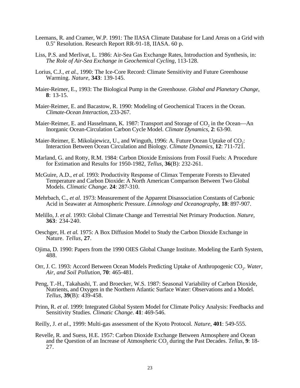- Leemans, R. and Cramer, W.P. 1991: The IIASA Climate Database for Land Areas on a Grid with 0.5° Resolution. Research Report RR-91-18, IIASA. 60 p.
- Liss, P.S. and Merlivat, L. 1986: Air-Sea Gas Exchange Rates, Introduction and Synthesis, in: *The Role of Air-Sea Exchange in Geochemical Cycling*, 113-128.
- Lorius, C.J., *et al.,* 1990: The Ice-Core Record: Climate Sensitivity and Future Greenhouse Warming. *Nature*, **343**: 139-145.
- Maier-Reimer, E., 1993: The Biological Pump in the Greenhouse. *Global and Planetary Change*, **<sup>8</sup>**: 13-15.
- Maier-Reimer, E. and Bacastow, R. 1990: Modeling of Geochemical Tracers in the Ocean. *Climate-Ocean Interaction*, 233-267.
- Maier-Reimer, E. and Hasselmann, K. 1987: Transport and Storage of CO<sub>2</sub> in the Ocean—An Inorganic Ocean-Circulation Carbon Cycle Model. *Climate Dynamics*, **2**: 63-90.
- Maier-Reimer, E. Mikolajewicz, U., and Winguth, 1996: A. Future Ocean Uptake of CO<sub>2</sub>: Interaction Between Ocean Circulation and Biology. *Climate Dynamics*, **12**: 711-721.
- Marland, G. and Rotty, R.M. 1984: Carbon Dioxide Emissions from Fossil Fuels: A Procedure for Estimation and Results for 1950-1982, *Tellus*, **36**(B): 232-261.
- McGuire, A.D., *et al.* 1993: Productivity Response of Climax Temperate Forests to Elevated Temperature and Carbon Dioxide: A North American Comparison Between Two Global Models. *Climatic Change*. **24**: 287-310.
- Mehrbach, C., *et al.* 1973: Measurement of the Apparent Disassociation Constants of Carbonic Acid in Seawater at Atmospheric Pressure. *Limnology and Oceanography*, **18**: 897-907.
- Melillo, J. *et al.* 1993: Global Climate Change and Terrestrial Net Primary Production. *Nature*, **<sup>363</sup>**: 234-240.
- Oeschger, H. *et al.* 1975: A Box Diffusion Model to Study the Carbon Dioxide Exchange in Nature. *Tellus*, **27**.
- Ojima, D. 1990: Papers from the 1990 OIES Global Change Institute. Modeling the Earth System, 488.
- Orr, J. C. 1993: Accord Between Ocean Models Predicting Uptake of Anthropogenic CO<sub>2</sub>. Water, *Air, and Soil Pollution*, **70**: 465-481.
- Peng, T.-H., Takahashi, T. and Broecker, W.S. 1987: Seasonal Variability of Carbon Dioxide, Nutrients, and Oxygen in the Northern Atlantic Surface Water: Observations and a Model. *Tellus*, **39**(B): 439-458.
- Prinn, R. *et al*. 1999: Integrated Global System Model for Climate Policy Analysis: Feedbacks and Sensitivity Studies. *Climatic Change*. **41**: 469-546.
- Reilly, J. *et al*., 1999: Multi-gas assessment of the Kyoto Protocol. *Nature*, **401**: 549-555.
- Revelle, R. and Suess, H.E. 1957: Carbon Dioxide Exchange Between Atmosphere and Ocean and the Question of an Increase of Atmospheric CO<sub>2</sub> during the Past Decades. *Tellus*, 9:18-27.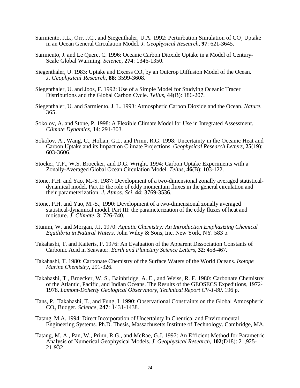- Sarmiento, J.L., Orr, J.C., and Siegenthaler, U.A. 1992: Perturbation Simulation of CO<sub>2</sub> Uptake in an Ocean General Circulation Model. *J. Geophysical Research*, **97**: 621-3645.
- Sarmiento, J. and Le Quere, C. 1996: Oceanic Carbon Dioxide Uptake in a Model of Century-Scale Global Warming. *Science*, **274**: 1346-1350.
- Siegenthaler, U. 1983: Uptake and Excess CO<sub>2</sub> by an Outcrop Diffusion Model of the Ocean. *J. Geophysical Research*, **88**: 3599-3608.
- Siegenthaler, U. and Joos, F. 1992: Use of a Simple Model for Studying Oceanic Tracer Distributions and the Global Carbon Cycle. *Tellus*, **44**(B): 186-207.
- Siegenthaler, U. and Sarmiento, J. L. 1993: Atmospheric Carbon Dioxide and the Ocean. *Nature*, 365.
- Sokolov, A. and Stone, P. 1998: A Flexible Climate Model for Use in Integrated Assessment. *Climate Dynamics*, **14**: 291-303.
- Sokolov, A., Wang, C., Holian, G.L. and Prinn, R.G. 1998: Uncertainty in the Oceanic Heat and Carbon Uptake and its Impact on Climate Projections. *Geophysical Research Letters*, **25**(19): 603-3606.
- Stocker, T.F., W.S. Broecker, and D.G. Wright. 1994: Carbon Uptake Experiments with a Zonally-Averaged Global Ocean Circulation Model. *Tellus*, **46**(B): 103-122.
- Stone, P.H. and Yao, M.-S. 1987: Development of a two-dimensional zonally averaged statisticaldynamical model. Part II: the role of eddy momentum fluxes in the general circulation and their parameterization. *J. Atmos. Sci*. **44**: 3769-3536.
- Stone, P.H. and Yao, M.-S., 1990: Development of a two-dimensional zonally averaged statistical-dynamical model. Part III: the parameterization of the eddy fluxes of heat and moisture. *J. Climate*, **3**: 726-740.
- Stumm, W. and Morgan, J.J. 1970: *Aquatic Chemistry: An Introduction Emphasizing Chemical Equilibria in Natural Waters*. John Wiley & Sons, Inc. New York, NY. 583 p.
- Takahashi, T. and Kaiteris, P. 1976: An Evaluation of the Apparent Dissociation Constants of Carbonic Acid in Seawater. *Earth and Planetary Science Letters*, **32**: 458-467.
- Takahashi, T. 1980: Carbonate Chemistry of the Surface Waters of the World Oceans. *Isotope Marine Chemistry*, 291-326.
- Takahashi, T., Broecker, W. S., Bainbridge, A. E., and Weiss, R. F. 1980: Carbonate Chemistry of the Atlantic, Pacific, and Indian Oceans. The Results of the GEOSECS Expeditions, 1972- 1978. *Lamont-Doherty Geological Observatory, Technical Report CV-1-80*. 196 p.
- Tans, P., Takahashi, T., and Fung, I. 1990: Observational Constraints on the Global Atmospheric CO2 Budget. *Science*, **247**: 1431-1438.
- Tatang, M.A. 1994: Direct Incorporation of Uncertainty In Chemical and Environmental Engineering Systems*.* Ph.D. Thesis, Massachusetts Institute of Technology. Cambridge, MA.
- Tatang, M. A., Pan, W., Prinn, R.G., and McRae, G.J. 1997: An Efficient Method for Parametric Analysis of Numerical Geophysical Models. *J. Geophysical Research*, **102**(D18): 21,925- 21,932.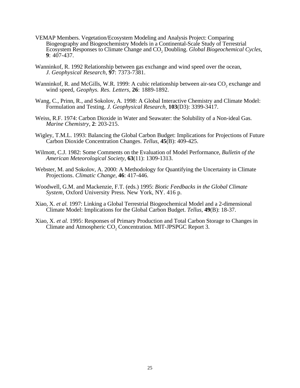- VEMAP Members. Vegetation/Ecosystem Modeling and Analysis Project: Comparing Biogeography and Biogeochemistry Models in a Continental-Scale Study of Terrestrial Ecosystem Responses to Climate Change and CO<sub>2</sub> Doubling. *Global Biogeochemical Cycles*, **9**: 407-437.
- Wanninkof, R. 1992 Relationship between gas exchange and wind speed over the ocean, *J. Geophysical Research*, **97**: 7373-7381.
- Wanninkof, R. and McGills, W.R. 1999: A cubic relationship between air-sea CO<sub>2</sub> exchange and wind speed, *Geophys. Res. Letters*, **26**: 1889-1892.
- Wang, C., Prinn, R., and Sokolov, A. 1998: A Global Interactive Chemistry and Climate Model: Formulation and Testing. *J. Geophysical Research*, **103**(D3): 3399-3417.
- Weiss, R.F. 1974: Carbon Dioxide in Water and Seawater: the Solubility of a Non-ideal Gas. *Marine Chemistry*, **2**: 203-215.
- Wigley, T.M.L. 1993: Balancing the Global Carbon Budget: Implications for Projections of Future Carbon Dioxide Concentration Changes. *Tellus*, **45**(B): 409-425.
- Wilmott, C.J. 1982: Some Comments on the Evaluation of Model Performance, *Bulletin of the American Meteorological Society*, **63**(11): 1309-1313.
- Webster, M. and Sokolov, A. 2000: A Methodology for Quantifying the Uncertainty in Climate Projections. *Climatic Change*, **46**: 417-446.
- Woodwell, G.M. and Mackenzie, F.T. (eds.) 1995: *Biotic Feedbacks in the Global Climate System,* Oxford University Press. New York, NY. 416 p.
- Xiao, X. *et al.* 1997: Linking a Global Terrestrial Biogeochemical Model and a 2-dimensional Climate Model: Implications for the Global Carbon Budget. *Tellus*, **49**(B): 18-37.
- Xiao, X. *et al.* 1995: Responses of Primary Production and Total Carbon Storage to Changes in Climate and Atmospheric  $CO<sub>2</sub>$  Concentration. MIT-JPSPGC Report 3.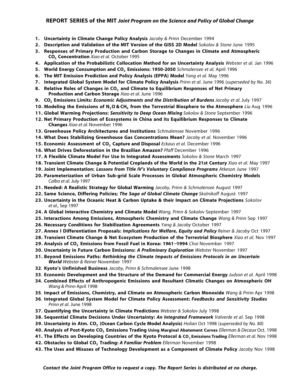#### **REPORT SERIES of the MIT** *Joint Program on the Science and Policy of Global Change*

- **1. Uncertainty in Climate Change Policy Analysis** *Jacoby & Prinn* December 1994
- **2. Description and Validation of the MIT Version of the GISS 2D Model** *Sokolov & Stone* June 1995
- **3. Responses of Primary Production and Carbon Storage to Changes in Climate and Atmospheric CO2 Concentration** *Xiao et al.* October 1995
- **4. Application of the Probabilistic Collocation Method for an Uncertainty Analysis** *Webster et al.* Jan 1996
- **5. World Energy Consumption and CO<sub>2</sub> Emissions: 1950-2050** *Schmalensee et al. April 1996*
- **6. The MIT Emission Prediction and Policy Analysis (EPPA) Model** *Yang et al.* May 1996
- **7. Integrated Global System Model for Climate Policy Analysis** *Prinn et al.* June 1996 (*superseded by No. 36*)
- **8. Relative Roles of Changes in CO2 and Climate to Equilibrium Responses of Net Primary Production and Carbon Storage** *Xiao et al.* June 1996
- **9. CO2 Emissions Limits:** *Economic Adjustments and the Distribution of Burdens Jacoby et al.* July 1997
- **10. Modeling the Emissions of N2O & CH4 from the Terrestrial Biosphere to the Atmosphere** *Liu* Aug 1996
- **11. Global Warming Projections:** *Sensitivity to Deep Ocean Mixing Sokolov & Stone* September 1996
- **12. Net Primary Production of Ecosystems in China and its Equilibrium Responses to Climate Changes** *Xiao et al.* November 1996
- **13. Greenhouse Policy Architectures and Institutions** *Schmalensee* November 1996
- **14. What Does Stabilizing Greenhouse Gas Concentrations Mean?** *Jacoby et al.* November 1996
- **15. Economic Assessment of CO2 Capture and Disposal** *Eckaus et al.* December 1996
- **16. What Drives Deforestation in the Brazilian Amazon?** *Pfaff* December 1996
- **17. A Flexible Climate Model For Use In Integrated Assessments** *Sokolov & Stone* March 1997
- **18. Transient Climate Change & Potential Croplands of the World in the 21st Century** *Xiao et al.* May 1997
- **19. Joint Implementation:** *Lessons from Title IV's Voluntary Compliance Programs Atkeson* June 1997
- **20. Parameterization of Urban Sub-grid Scale Processes in Global Atmospheric Chemistry Models** *Calbo et al.* July 1997
- **21. Needed: A Realistic Strategy for Global Warming** *Jacoby, Prinn & Schmalensee* August 1997
- **22. Same Science, Differing Policies;** *The Saga of Global Climate Change Skolnikoff* August 1997
- **23. Uncertainty in the Oceanic Heat & Carbon Uptake & their Impact on Climate Projections** *Sokolov et al.,* Sep 1997
- **24. A Global Interactive Chemistry and Climate Model** *Wang, Prinn & Sokolov* September 1997
- **25. Interactions Among Emissions, Atmospheric Chemistry and Climate Change** *Wang & Prinn* Sep 1997
- **26. Necessary Conditions for Stabilization Agreements** *Yang & Jacoby* October 1997
- **27. Annex I Differentiation Proposals:** *Implications for Welfare, Equity and Policy Reiner & Jacoby* Oct 1997
- **28. Transient Climate Change & Net Ecosystem Production of the Terrestrial Biosphere** *Xiao et al.* Nov 1997
- **29. Analysis of CO2 Emissions from Fossil Fuel in Korea: 1961**−**1994** *Choi* November 1997
- **30. Uncertainty in Future Carbon Emissions:** *A Preliminary Exploration Webster* November 1997
- **31. Beyond Emissions Paths:** *Rethinking the Climate Impacts of Emissions Protocols in an Uncertain World Webster & Reiner* November 1997
- **32**. **Kyoto's Unfinished Business** *Jacoby, Prinn & Schmalensee* June 1998
- **33**. **Economic Development and the Structure of the Demand for Commercial Energy** *Judson et al.* April 1998
- **34**. **Combined Effects of Anthropogenic Emissions and Resultant Climatic Changes on Atmospheric OH** *Wang & Prinn* April 1998
- **35**. **Impact of Emissions, Chemistry, and Climate on Atmospheric Carbon Monoxide** *Wang & Prinn* Apr 1998
- **36**. **Integrated Global System Model for Climate Policy Assessment:** *Feedbacks and Sensitivity Studies Prinn et al.* June 1998
- **37. Quantifying the Uncertainty in Climate Predictions** *Webster & Sokolov* July 1998
- **38. Sequential Climate Decisions Under Uncertainty:** *An Integrated Framework Valverde et al.* Sep 1998
- **39. Uncertainty in Atm. CO2 (Ocean Carbon Cycle Model Analysis)** *Holian* Oct 1998 (*superseded by No. 80*)
- **40. Analysis of Post-Kyoto CO<sub>2</sub> Emissions Trading Using Marginal Abatement Curves** *Ellerman & Decaux* **Oct. 1998**
- **41. The Effects on Developing Countries of the Kyoto Protocol & CO2 Emissions Trading** *Ellerman et al.* Nov 1998
- **42. Obstacles to Global CO2 Trading:** *A Familiar Problem Ellerman* November 1998
- **43. The Uses and Misuses of Technology Development as a Component of Climate Policy** *Jacoby* Nov 1998